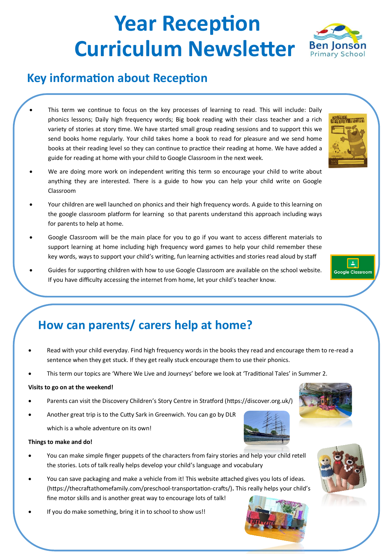# **Year Reception Curriculum Newsletter** Ben Jonson

### **Key information about Reception**

- This term we continue to focus on the key processes of learning to read. This will include: Daily phonics lessons; Daily high frequency words; Big book reading with their class teacher and a rich variety of stories at story time. We have started small group reading sessions and to support this we send books home regularly. Your child takes home a book to read for pleasure and we send home books at their reading level so they can continue to practice their reading at home. We have added a guide for reading at home with your child to Google Classroom in the next week.
- We are doing more work on independent writing this term so encourage your child to write about anything they are interested. There is a guide to how you can help your child write on Google Classroom
- Your children are well launched on phonics and their high frequency words. A guide to this learning on the google classroom platform for learning so that parents understand this approach including ways for parents to help at home.
- Google Classroom will be the main place for you to go if you want to access different materials to support learning at home including high frequency word games to help your child remember these key words, ways to support your child's writing, fun learning activities and stories read aloud by staff
- Guides for supporting children with how to use Google Classroom are available on the school website. If you have difficulty accessing the internet from home, let your child's teacher know.



- Read with your child everyday. Find high frequency words in the books they read and encourage them to re-read a sentence when they get stuck. If they get really stuck encourage them to use their phonics.
- This term our topics are 'Where We Live and Journeys' before we look at 'Traditional Tales' in Summer 2.

#### **Visits to go on at the weekend!**

- Parents can visit the Discovery Children's Story Centre in Stratford (https://discover.org.uk/)
- Another great trip is to the Cutty Sark in Greenwich. You can go by DLR

which is a whole adventure on its own!

#### **Things to make and do!**

- You can make simple finger puppets of the characters from fairy stories and help your child retell the stories. Lots of talk really helps develop your child's language and vocabulary
- You can save packaging and make a vehicle from it! This website attached gives you lots of ideas. (https://thecraftathomefamily.com/preschool-transportation-crafts/)**.** This really helps your child's fine motor skills and is another great way to encourage lots of talk!
- If you do make something, bring it in to school to show us!!